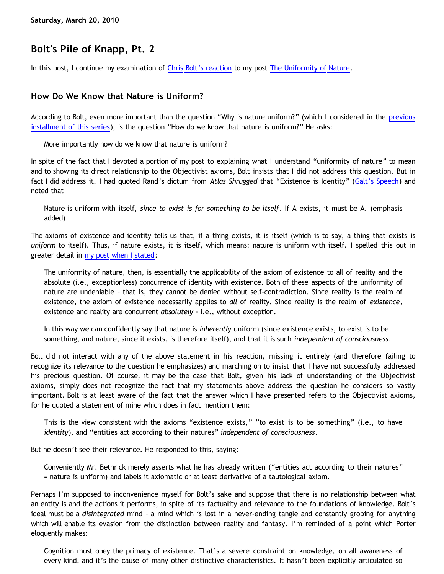## **Bolt's Pile of Knapp, Pt. 2**

In this post, I continue my examination of [Chris Bolt's reaction](http://www.choosinghats.com/?p=997) to my post [The Uniformity of Nature](http://bahnsenburner.blogspot.com/2010/02/uniformity-of-nature.html).

## **How Do We Know that Nature is Uniform?**

According to Bolt, even more important than the question "Why is nature uniform?" (which I considered in the [previous](http://bahnsenburner.blogspot.com/2010/03/bolts-pile-of-knapp-pt-1.html) [installment of this series](http://bahnsenburner.blogspot.com/2010/03/bolts-pile-of-knapp-pt-1.html)), is the question "How do we know that nature is uniform?" He asks:

More importantly how do we know that nature is uniform?

In spite of the fact that I devoted a portion of my post to explaining what I understand "uniformity of nature" to mean and to showing its direct relationship to the Objectivist axioms, Bolt insists that I did not address this question. But in fact I did address it. I had quoted Rand's dictum from *Atlas Shrugged* that "Existence is Identity" ([Galt's Speech](http://jvwisdom.com/jv/joint-venture-videos/john-galt-speech.html)) and noted that

Nature is uniform with itself, *since to exist is for something to be itself*. If A exists, it must be A. (emphasis added)

The axioms of existence and identity tells us that, if a thing exists, it is itself (which is to say, a thing that exists is *uniform* to itself). Thus, if nature exists, it is itself, which means: nature is uniform with itself. I spelled this out in greater detail in [my post when I stated:](http://bahnsenburner.blogspot.com/2010/02/uniformity-of-nature.html)

The uniformity of nature, then, is essentially the applicability of the axiom of existence to all of reality and the absolute (i.e., exceptionless) concurrence of identity with existence. Both of these aspects of the uniformity of nature are undeniable – that is, they cannot be denied without self-contradiction. Since reality is the realm of existence, the axiom of existence necessarily applies to *all* of reality. Since reality is the realm of *existence*, existence and reality are concurrent *absolutely* - i.e., without exception.

In this way we can confidently say that nature is *inherently* uniform (since existence exists, to exist is to be something, and nature, since it exists, is therefore itself), and that it is such *independent of consciousness*.

Bolt did not interact with any of the above statement in his reaction, missing it entirely (and therefore failing to recognize its relevance to the question he emphasizes) and marching on to insist that I have not successfully addressed his precious question. Of course, it may be the case that Bolt, given his lack of understanding of the Objectivist axioms, simply does not recognize the fact that my statements above address the question he considers so vastly important. Bolt is at least aware of the fact that the answer which I have presented refers to the Objectivist axioms, for he quoted a statement of mine which does in fact mention them:

This is the view consistent with the axioms "existence exists," "to exist is to be something" (i.e., to have *identity*), and "entities act according to their natures" *independent of consciousness*.

But he doesn't see their relevance. He responded to this, saying:

Conveniently Mr. Bethrick merely asserts what he has already written ("entities act according to their natures" = nature is uniform) and labels it axiomatic or at least derivative of a tautological axiom.

Perhaps I'm supposed to inconvenience myself for Bolt's sake and suppose that there is no relationship between what an entity is and the actions it performs, in spite of its factuality and relevance to the foundations of knowledge. Bolt's ideal must be a *disintegrated* mind – a mind which is lost in a never-ending tangle and constantly groping for anything which will enable its evasion from the distinction between reality and fantasy. I'm reminded of a point which Porter eloquently makes:

Cognition must obey the primacy of existence. That's a severe constraint on knowledge, on all awareness of every kind, and it's the cause of many other distinctive characteristics. It hasn't been explicitly articulated so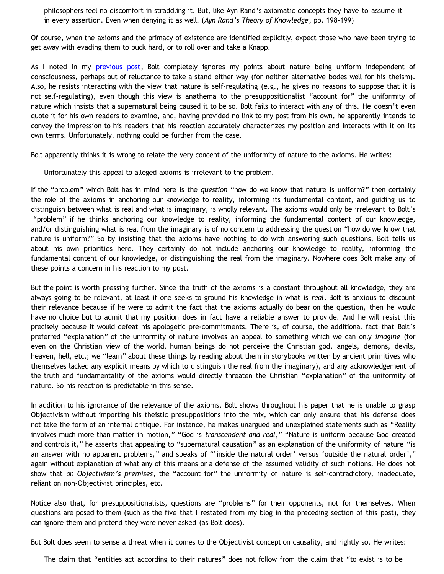philosophers feel no discomfort in straddling it. But, like Ayn Rand's axiomatic concepts they have to assume it in every assertion. Even when denying it as well. (*Ayn Rand's Theory of Knowledge*, pp. 198-199)

Of course, when the axioms and the primacy of existence are identified explicitly, expect those who have been trying to get away with evading them to buck hard, or to roll over and take a Knapp.

As I noted in my [previous post](http://bahnsenburner.blogspot.com/2010/03/bolts-pile-of-knapp-pt-1.html), Bolt completely ignores my points about nature being uniform independent of consciousness, perhaps out of reluctance to take a stand either way (for neither alternative bodes well for his theism). Also, he resists interacting with the view that nature is self-regulating (e.g., he gives no reasons to suppose that it is not self-regulating), even though this view is anathema to the presuppositionalist "account for" the uniformity of nature which insists that a supernatural being caused it to be so. Bolt fails to interact with any of this. He doesn't even quote it for his own readers to examine, and, having provided no link to my post from his own, he apparently intends to convey the impression to his readers that his reaction accurately characterizes my position and interacts with it on its own terms. Unfortunately, nothing could be further from the case.

Bolt apparently thinks it is wrong to relate the very concept of the uniformity of nature to the axioms. He writes:

Unfortunately this appeal to alleged axioms is irrelevant to the problem.

If the "problem" which Bolt has in mind here is the *question* "how do we know that nature is uniform?" then certainly the role of the axioms in anchoring our knowledge to reality, informing its fundamental content, and guiding us to distinguish between what is real and what is imaginary, is wholly relevant. The axioms would only be irrelevant to Bolt's "problem" if he thinks anchoring our knowledge to reality, informing the fundamental content of our knowledge, and/or distinguishing what is real from the imaginary is of no concern to addressing the question "how do we know that nature is uniform?" So by insisting that the axioms have nothing to do with answering such questions, Bolt tells us about his own priorities here. They certainly do not include anchoring our knowledge to reality, informing the fundamental content of our knowledge, or distinguishing the real from the imaginary. Nowhere does Bolt make any of these points a concern in his reaction to my post.

But the point is worth pressing further. Since the truth of the axioms is a constant throughout all knowledge, they are always going to be relevant, at least if one seeks to ground his knowledge in what is *real*. Bolt is anxious to discount their relevance because if he were to admit the fact that the axioms actually do bear on the question, then he would have no choice but to admit that my position does in fact have a reliable answer to provide. And he will resist this precisely because it would defeat his apologetic pre-commitments. There is, of course, the additional fact that Bolt's preferred "explanation" of the uniformity of nature involves an appeal to something which we can only *imagine* (for even on the Christian view of the world, human beings do not perceive the Christian god, angels, demons, devils, heaven, hell, etc.; we "learn" about these things by reading about them in storybooks written by ancient primitives who themselves lacked any explicit means by which to distinguish the real from the imaginary), and any acknowledgement of the truth and fundamentality of the axioms would directly threaten the Christian "explanation" of the uniformity of nature. So his reaction is predictable in this sense.

In addition to his ignorance of the relevance of the axioms, Bolt shows throughout his paper that he is unable to grasp Objectivism without importing his theistic presuppositions into the mix, which can only ensure that his defense does not take the form of an internal critique. For instance, he makes unargued and unexplained statements such as "Reality involves much more than matter in motion," "God is *transcendent and real*," "Nature is uniform because God created and controls it," he asserts that appealing to "supernatural causation" as an explanation of the uniformity of nature "is an answer with no apparent problems," and speaks of "'inside the natural order' versus 'outside the natural order'," again without explanation of what any of this means or a defense of the assumed validity of such notions. He does not show that *on Objectivism's premises*, the "account for" the uniformity of nature is self-contradictory, inadequate, reliant on non-Objectivist principles, etc.

Notice also that, for presuppositionalists, questions are "problems" for their opponents, not for themselves. When questions are posed to them (such as the five that I restated from my blog in the preceding section of this post), they can ignore them and pretend they were never asked (as Bolt does).

But Bolt does seem to sense a threat when it comes to the Objectivist conception causality, and rightly so. He writes:

The claim that "entities act according to their natures" does not follow from the claim that "to exist is to be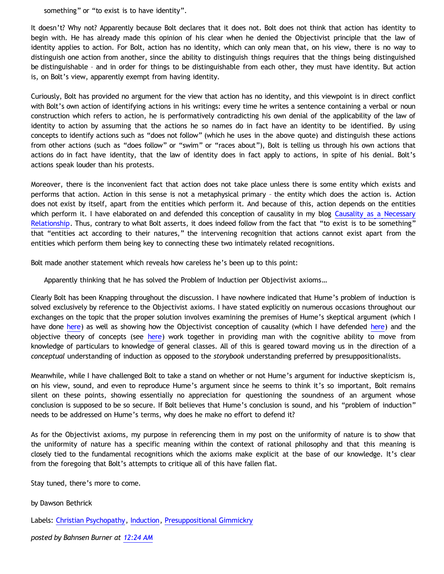something" or "to exist is to have identity".

It doesn't? Why not? Apparently because Bolt declares that it does not. Bolt does not think that action has identity to begin with. He has already made this opinion of his clear when he denied the Objectivist principle that the law of identity applies to action. For Bolt, action has no identity, which can only mean that, on his view, there is no way to distinguish one action from another, since the ability to distinguish things requires that the things being distinguished be distinguishable – and in order for things to be distinguishable from each other, they must have identity. But action is, on Bolt's view, apparently exempt from having identity.

Curiously, Bolt has provided no argument for the view that action has no identity, and this viewpoint is in direct conflict with Bolt's own action of identifying actions in his writings: every time he writes a sentence containing a verbal or noun construction which refers to action, he is performatively contradicting his own denial of the applicability of the law of identity to action by assuming that the actions he so names do in fact have an identity to be identified. By using concepts to identify actions such as "does not follow" (which he uses in the above quote) and distinguish these actions from other actions (such as "does follow" or "swim" or "races about"), Bolt is telling us through his own actions that actions do in fact have identity, that the law of identity does in fact apply to actions, in spite of his denial. Bolt's actions speak louder than his protests.

Moreover, there is the inconvenient fact that action does not take place unless there is some entity which exists and performs that action. Action in this sense is not a metaphysical primary – the entity which does the action is. Action does not exist by itself, apart from the entities which perform it. And because of this, action depends on the entities which perform it. I have elaborated on and defended this conception of causality in my blog [Causality as a Necessary](http://bahnsenburner.blogspot.com/2010/03/causality-as-necessary-relationship.html) [Relationship.](http://bahnsenburner.blogspot.com/2010/03/causality-as-necessary-relationship.html) Thus, contrary to what Bolt asserts, it does indeed follow from the fact that "to exist is to be something" that "entities act according to their natures," the intervening recognition that actions cannot exist apart from the entities which perform them being key to connecting these two intimately related recognitions.

Bolt made another statement which reveals how careless he's been up to this point:

Apparently thinking that he has solved the Problem of Induction per Objectivist axioms…

Clearly Bolt has been Knapping throughout the discussion. I have nowhere indicated that Hume's problem of induction is solved exclusively by reference to the Objectivist axioms. I have stated explicitly on numerous occasions throughout our exchanges on the topic that the proper solution involves examining the premises of Hume's skeptical argument (which I have done [here\)](http://bahnsenburner.blogspot.com/2010/03/humean-causality-and.html) as well as showing how the Objectivist conception of causality (which I have defended [here](http://bahnsenburner.blogspot.com/2010/03/causality-as-necessary-relationship.html)) and the objective theory of concepts (see [here\)](http://www.bristol.ac.uk/metaphysicsofscience/naicpapers/gotthelf.pdf) work together in providing man with the cognitive ability to move from knowledge of particulars to knowledge of general classes. All of this is geared toward moving us in the direction of a *conceptual* understanding of induction as opposed to the *storybook* understanding preferred by presuppositionalists.

Meanwhile, while I have challenged Bolt to take a stand on whether or not Hume's argument for inductive skepticism is, on his view, sound, and even to reproduce Hume's argument since he seems to think it's so important, Bolt remains silent on these points, showing essentially no appreciation for questioning the soundness of an argument whose conclusion is supposed to be so secure. If Bolt believes that Hume's conclusion is sound, and his "problem of induction" needs to be addressed on Hume's terms, why does he make no effort to defend it?

As for the Objectivist axioms, my purpose in referencing them in my post on the uniformity of nature is to show that the uniformity of nature has a specific meaning within the context of rational philosophy and that this meaning is closely tied to the fundamental recognitions which the axioms make explicit at the base of our knowledge. It's clear from the foregoing that Bolt's attempts to critique all of this have fallen flat.

Stay tuned, there's more to come.

by Dawson Bethrick

Labels: [Christian Psychopathy](http://bahnsenburner.blogspot.com/search/label/Christian%20Psychopathy), [Induction](http://bahnsenburner.blogspot.com/search/label/Induction), [Presuppositional Gimmickry](http://bahnsenburner.blogspot.com/search/label/Presuppositional%20Gimmickry)

*posted by Bahnsen Burner at [12:24 AM](http://bahnsenburner.blogspot.com/2010/03/bolts-pile-of-knapp-pt-2.html)*